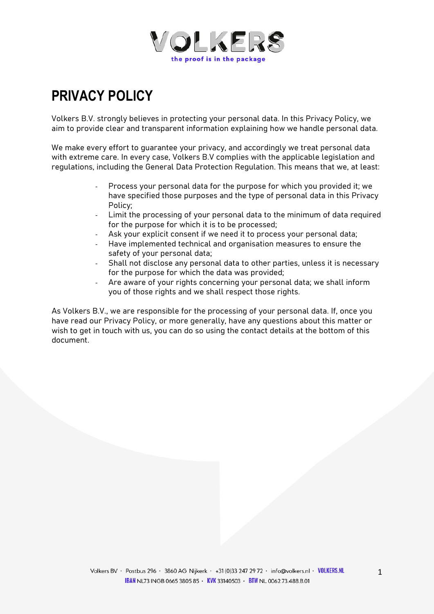

# **PRIVACY POLICY**

Volkers B.V. strongly believes in protecting your personal data. In this Privacy Policy, we aim to provide clear and transparent information explaining how we handle personal data.

We make every effort to quarantee your privacy, and accordingly we treat personal data with extreme care. In every case, Volkers B.V complies with the applicable legislation and regulations, including the General Data Protection Regulation. This means that we, at least:

- Process your personal data for the purpose for which you provided it; we have specified those purposes and the type of personal data in this Privacy Policy;
- Limit the processing of your personal data to the minimum of data required for the purpose for which it is to be processed;
- Ask your explicit consent if we need it to process your personal data;
- Have implemented technical and organisation measures to ensure the safety of your personal data;
- Shall not disclose any personal data to other parties, unless it is necessary for the purpose for which the data was provided;
- Are aware of your rights concerning your personal data; we shall inform you of those rights and we shall respect those rights.

As Volkers B.V., we are responsible for the processing of your personal data. If, once you have read our Privacy Policy, or more generally, have any questions about this matter or wish to get in touch with us, you can do so using the contact details at the bottom of this document.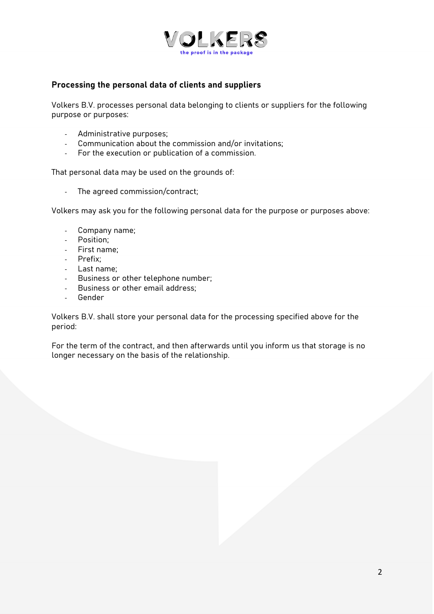

#### **Processing the personal data of clients and suppliers**

Volkers B.V. processes personal data belonging to clients or suppliers for the following purpose or purposes:

- Administrative purposes;
- Communication about the commission and/or invitations;
- For the execution or publication of a commission.

That personal data may be used on the grounds of:

- The agreed commission/contract;

Volkers may ask you for the following personal data for the purpose or purposes above:

- Company name;
- Position;
- First name;
- Prefix;
- Last name;
- Business or other telephone number;
- Business or other email address;
- Gender

Volkers B.V. shall store your personal data for the processing specified above for the period:

For the term of the contract, and then afterwards until you inform us that storage is no longer necessary on the basis of the relationship.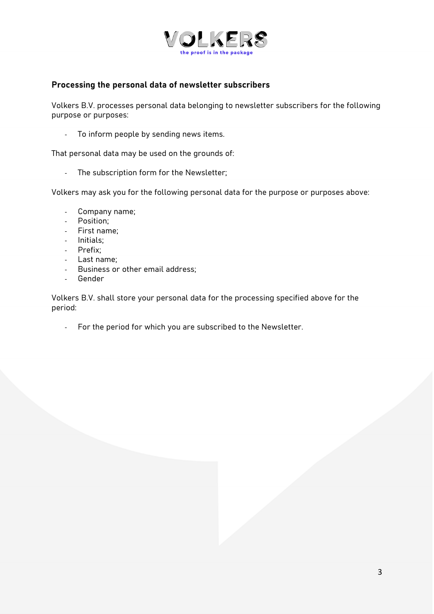

#### **Processing the personal data of newsletter subscribers**

Volkers B.V. processes personal data belonging to newsletter subscribers for the following purpose or purposes:

- To inform people by sending news items.

That personal data may be used on the grounds of:

- The subscription form for the Newsletter;

Volkers may ask you for the following personal data for the purpose or purposes above:

- Company name;
- Position;
- First name;
- Initials;
- Prefix;
- Last name;
- Business or other email address;
- **Gender**

Volkers B.V. shall store your personal data for the processing specified above for the period:

- For the period for which you are subscribed to the Newsletter.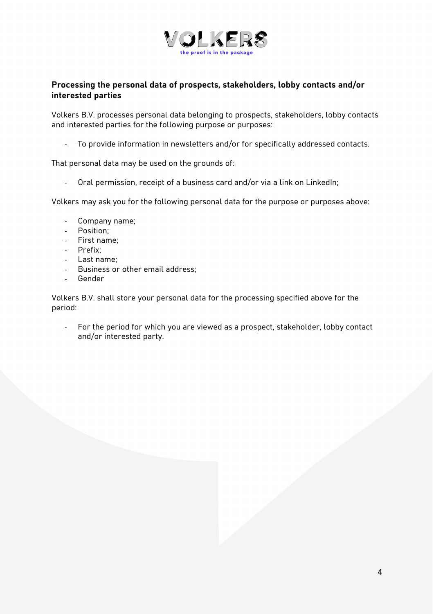

# **Processing the personal data of prospects, stakeholders, lobby contacts and/or interested parties**

Volkers B.V. processes personal data belonging to prospects, stakeholders, lobby contacts and interested parties for the following purpose or purposes:

- To provide information in newsletters and/or for specifically addressed contacts.

That personal data may be used on the grounds of:

- Oral permission, receipt of a business card and/or via a link on LinkedIn;

Volkers may ask you for the following personal data for the purpose or purposes above:

- Company name;
- Position;
- First name;
- Prefix;
- Last name;
- Business or other email address;
- Gender

Volkers B.V. shall store your personal data for the processing specified above for the period:

For the period for which you are viewed as a prospect, stakeholder, lobby contact and/or interested party.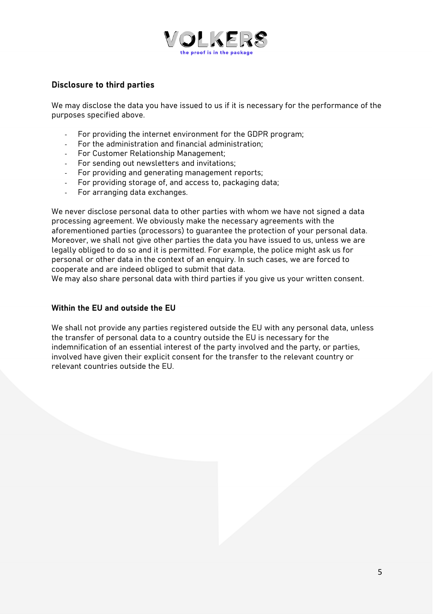

# **Disclosure to third parties**

We may disclose the data you have issued to us if it is necessary for the performance of the purposes specified above.

- For providing the internet environment for the GDPR program;
- For the administration and financial administration;
- For Customer Relationship Management;
- For sending out newsletters and invitations;
- For providing and generating management reports;
- For providing storage of, and access to, packaging data;
- For arranging data exchanges.

We never disclose personal data to other parties with whom we have not signed a data processing agreement. We obviously make the necessary agreements with the aforementioned parties (processors) to guarantee the protection of your personal data. Moreover, we shall not give other parties the data you have issued to us, unless we are legally obliged to do so and it is permitted. For example, the police might ask us for personal or other data in the context of an enquiry. In such cases, we are forced to cooperate and are indeed obliged to submit that data.

We may also share personal data with third parties if you give us your written consent.

#### **Within the EU and outside the EU**

We shall not provide any parties registered outside the EU with any personal data, unless the transfer of personal data to a country outside the EU is necessary for the indemnification of an essential interest of the party involved and the party, or parties, involved have given their explicit consent for the transfer to the relevant country or relevant countries outside the EU.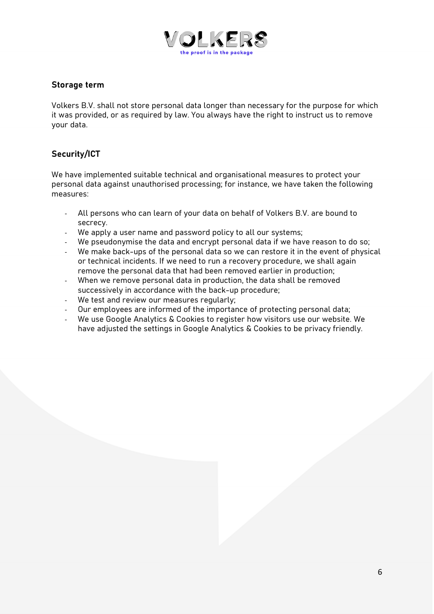

#### **Storage term**

Volkers B.V. shall not store personal data longer than necessary for the purpose for which it was provided, or as required by law. You always have the right to instruct us to remove your data.

# **Security/ICT**

We have implemented suitable technical and organisational measures to protect your personal data against unauthorised processing; for instance, we have taken the following measures:

- All persons who can learn of your data on behalf of Volkers B.V. are bound to secrecy.
- We apply a user name and password policy to all our systems;
- We pseudonymise the data and encrypt personal data if we have reason to do so;
- We make back-ups of the personal data so we can restore it in the event of physical or technical incidents. If we need to run a recovery procedure, we shall again remove the personal data that had been removed earlier in production;
- When we remove personal data in production, the data shall be removed successively in accordance with the back-up procedure;
- We test and review our measures regularly;
- Our employees are informed of the importance of protecting personal data;
- We use Google Analytics & Cookies to register how visitors use our website. We have adjusted the settings in Google Analytics & Cookies to be privacy friendly.